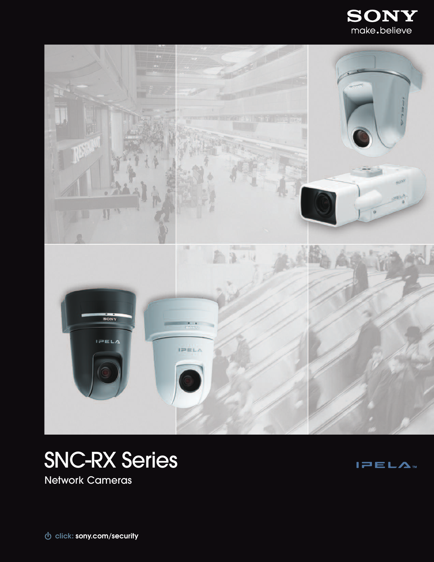





Network Cameras

 $I = EL\Lambda$ 

**sony.com/security click:**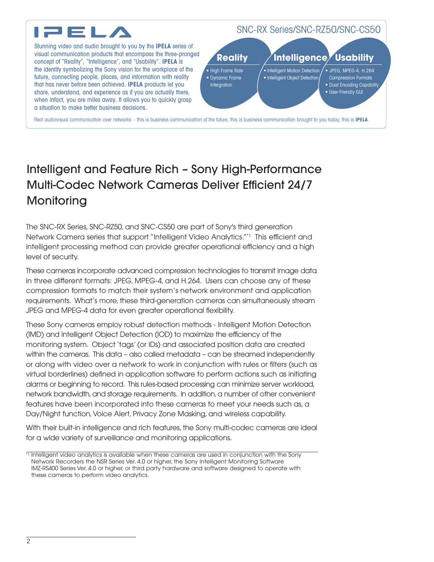

# Intelligent and Feature Rich – Sony High-Performance Multi-Codec Network Cameras Deliver Efficient 24/7 **Monitoring**

The SNC-RX Series, SNC-RZ50, and SNC-CS50 are part of Sony's third generation Network Camera series that support "Intelligent Video Analytics."\*1 This efficient and intelligent processing method can provide greater operational efficiency and a high level of security.

These cameras incorporate advanced compression technologies to transmit image data in three different formats: JPEG, MPEG-4, and H.264. Users can choose any of these compression formats to match their system's network environment and application requirements. What's more, these third-generation cameras can simultaneously stream JPEG and MPEG-4 data for even greater operational flexibility.

These Sony cameras employ robust detection methods - Intelligent Motion Detection (IMD) and Intelligent Object Detection (IOD) to maximize the efficiency of the monitoring system. Object'tags'(or IDs) and associated position data are created within the cameras. This data – also called metadata – can be streamed independently or along with video over a network to work in conjunction with rules or filters (such as virtual borderlines) defined in application software to perform actions such as initiating alarms or beginning to record. This rules-based processing can minimize server workload, network bandwidth, and storage requirements. In addition, a number of other convenient features have been incorporated into these cameras to meet your needs such as, a Day/Night function,Voice Alert, Privacy Zone Masking, and wireless capability.

With their built-in intelligence and rich features, the Sony multi-codec cameras are ideal for a wide variety of surveillance and monitoring applications.

<sup>\*1</sup> Intelligent video analytics is available when these cameras are used in conjunction with the Sony Network Recorders the NSR Series Ver. 4.0 or higher, the Sony Intelligent Monitoring Software IMZ-RS400 Series Ver. 4.0 or higher, or third party hardware and software designed to operate with these cameras to perform video analytics.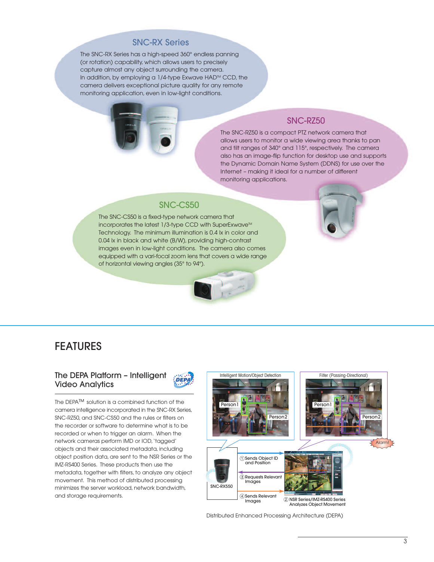# SNC-RX Series

The SNC-RX Series has a high-speed 360° endless panning (or rotation) capability, which allows users to precisely capture almost any object surrounding the camera. In addition, by employing a  $1/4$ -type Exwave HAD<sup>M</sup> CCD, the camera delivers exceptional picture quality for any remote monitoring application, even in low-light conditions.



# SNC-RZ50

The SNC-RZ50 is a compact PTZ network camera that allows users to monitor a wide viewing area thanks to pan and tilt ranges of 340° and 115°, respectively. The camera also has an image-flip function for desktop use and supports the Dynamic Domain Name System (DDNS) for use over the Internet – making it ideal for a number of different monitoring applications.

## SNC-CS50

The SNC-CS50 is a fixed-type network camera that incorporates the latest 1/3-type CCD with SuperExwave<sup>™</sup> Technology. The minimum illumination is 0.4 lx in color and 0.04 lx in black and white (B/W), providing high-contrast images even in low-light conditions. The camera also comes equipped with a vari-focal zoom lens that covers a wide range of horizontal viewing angles (35° to 94°).



# FEATURES

## The DEPA Platform – Intelligent Video Analytics



The DEPA™ solution is a combined function of the camera intelligence incorporated in the SNC-RX Series, SNC-RZ50, and SNC-CS50 and the rules or filters on the recorder or software to determine what is to be recorded or when to trigger an alarm. When the network cameras perform IMD or IOD,'tagged' objects and their associated metadata, including object position data, are sent to the NSR Series or the IMZ-RS400 Series. These products then use the metadata, together with filters, to analyze any object movement. This method of distributed processing minimizes the server workload, network bandwidth, and storage requirements.



Distributed Enhanced Processing Architecture (DEPA)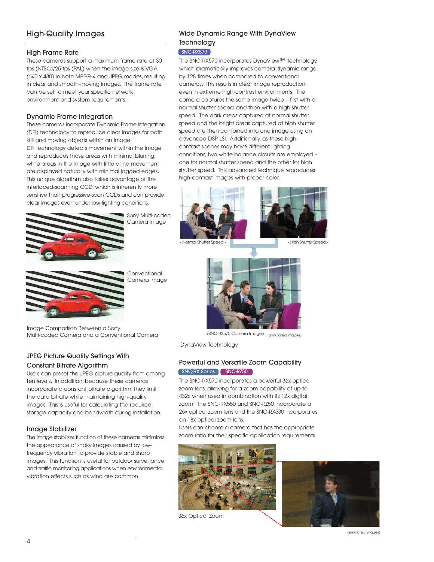# High-Quality Images

### High Frame Rate

These cameras support a maximum frame rate of 30 fps (NTSC)/25 fps (PAL) when the image size is VGA (640 x 480) in both MPEG-4 and JPEG modes, resulting in clear and smooth-moving images. The frame rate can be set to meet your specific network environment and system requirements.

### Dynamic Frame Integration

These cameras incorporate Dynamic Frame Integration (DFI) technology to reproduce clear images for both still and moving objects within an image. DFI technology detects movement within the image and reproduces those areas with minimal blurring, while areas in the image with little or no movement are displayed naturally with minimal jagged edges. This unique algorithm also takes advantage of the interlaced-scanning CCD, which is inherently more sensitive than progressive-scan CCDs and can provide clear images even under low-lighting conditions.



Sony Multi-codec Camera Image







**Conventional** Camera Image

Image Comparison Between a Sony Multi-codec Camera and a Conventional Camera

# JPEG Picture Quality Settings With

## Constant Bitrate Algorithm

Users can preset the JPEG picture quality from among ten levels. In addition, because these cameras incorporate a constant bitrate algorithm, they limit the data bitrate while maintaining high-quality images. This is useful for calculating the required storage capacity and bandwidth during installation.

## Image Stabilizer

The image stabilizer function of these cameras minimizes the appearance of shaky images caused by lowfrequency vibration to provide stable and sharp images. This function is useful for outdoor surveillance and traffic monitoring applications when environmental vibration effects such as wind are common.



Wide Dynamic Range With DynaView

The SNC-RX570 incorporates DynaView™ technology, which dramatically improves camera dynamic range by 128 times when compared to conventional cameras. This results in clear image reproduction, even in extreme high-contrast environments. The camera captures the same image twice – first with a normal shutter speed, and then with a high shutter speed. The dark areas captured at normal shutter speed and the bright areas captured at high shutter speed are then combined into one image using an advanced DSP LSI. Additionally, as these highcontrast scenes may have different lighting

conditions, two white balance circuits are employed – one for normal shutter speed and the other for high shutter speed. This advanced technique reproduces

high-contrast images with proper color.

**Technology** 

 $SNC-RX570$ 

<SNC-RX570 Camera Image> (simulated images)

DynaView Technology

## Powerful and Versatile Zoom Capability SNC-RX Series SNC-RZ50

The SNC-RX570 incorporates a powerful 36x optical zoom lens, allowing for a zoom capability of up to 432x when used in combination with its 12x digital zoom. The SNC-RX550 and SNC-RZ50 incorporate a 26x optical zoom lens and the SNC-RX530 incorporates an 18x optical zoom lens.

Users can choose a camera that has the appropriate zoom ratio for their specific application requirements.



36x Optical Zoom

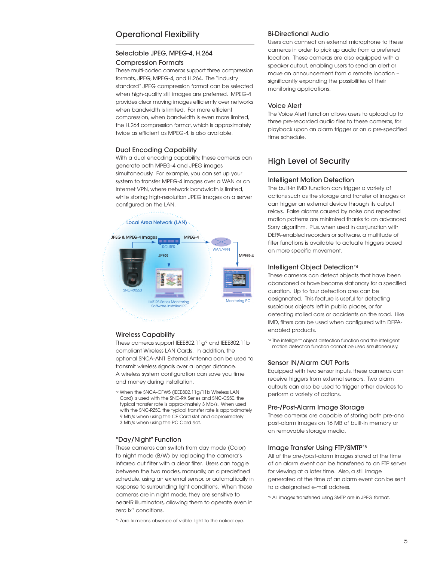## Operational Flexibility

### Selectable JPEG, MPEG-4, H.264 Compression Formats

These multi-codec cameras support three compression formats, JPEG, MPEG-4, and H.264. The "industry standard" JPEG compression format can be selected when high-quality still images are preferred. MPEG-4 provides clear moving images efficiently over networks when bandwidth is limited. For more efficient compression, when bandwidth is even more limited, the H.264 compression format, which is approximately twice as efficient as MPEG-4, is also available.

#### Dual Encoding Capability

With a dual encoding capability, these cameras can generate both MPEG-4 and JPEG images simultaneously. For example, you can set up your system to transfer MPEG-4 images over a WAN or an Internet VPN, where network bandwidth is limited, while storing high-resolution JPEG images on a server configured on the LAN.



#### Wireless Capability

These cameras support IEEE802.11g<sup>\*2</sup> and IEEE802.11b compliant Wireless LAN Cards. In addition, the optional SNCA-AN1 External Antenna can be used to transmit wireless signals over a longer distance. A wireless system configuration can save you time and money during installation.

\*2 When the SNCA-CFW5 (IEEE802.11g/11b Wireless LAN Card) is used with the SNC-RX Series and SNC-CS50, the typical transfer rate is approximately 3 Mb/s. When used with the SNC-RZ50, the typical transfer rate is approximately 9 Mb/s when using the CF Card slot and approximately 3 Mb/s when using the PC Card slot.

#### "Day/Night" Function

These cameras can switch from day mode (Color) to night mode (B/W) by replacing the camera's infrared cut filter with a clear filter. Users can toggle between the two modes, manually, on a predefined schedule, using an external sensor, or automatically in response to surrounding light conditions. When these cameras are in night mode, they are sensitive to near-IR illuminators, allowing them to operate even in zero lx<sup>\*3</sup> conditions.

\*3 Zero lx means absence of visible light to the naked eye.

#### Bi-Directional Audio

Users can connect an external microphone to these cameras in order to pick up audio from a preferred location. These cameras are also equipped with a speaker output, enabling users to send an alert or make an announcement from a remote location – significantly expanding the possibilities of their monitoring applications.

#### Voice Alert

The Voice Alert function allows users to upload up to three pre-recorded audio files to these cameras, for playback upon an alarm trigger or on a pre-specified time schedule.

## High Level of Security

#### Intelligent Motion Detection

The built-in IMD function can trigger a variety of actions such as the storage and transfer of images or can trigger an external device through its output relays. False alarms caused by noise and repeated motion patterns are minimized thanks to an advanced Sony algorithm. Plus, when used in conjunction with DEPA-enabled recorders or software, a multitude of filter functions is available to actuate triggers based on more specific movement.

#### Intelligent Object Detection\*4

These cameras can detect objects that have been abandoned or have become stationary for a specified duration. Up to four detection ares can be designnated. This feature is useful for detecting suspicious objects left in public places, or for detecting stalled cars or accidents on the road. Like IMD, filters can be used when configured with DEPAenabled products.

\*4 The intelligent object detection function and the intelligent motion detection function cannot be used simultaneously.

#### Sensor IN/Alarm OUT Ports

Equipped with two sensor inputs, these cameras can receive triggers from external sensors. Two alarm outputs can also be used to trigger other devices to perform a variety of actions.

#### Pre-/Post-Alarm Image Storage

These cameras are capable of storing both pre-and post-alarm images on 16 MB of built-in memory or on removable storage media.

#### Image Transfer Using FTP/SMTP\*5

All of the pre-/post-alarm images stored at the time of an alarm event can be transferred to an FTP server for viewing at a later time. Also, a still image generated at the time of an alarm event can be sent to a designated e-mail address.

\*5 All images transferred using SMTP are in JPEG format.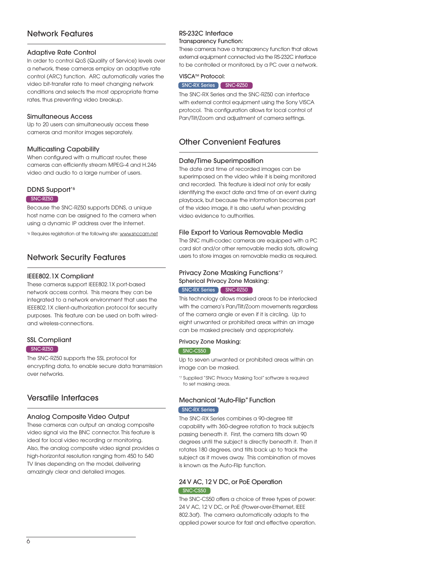# Network Features

### Adaptive Rate Control

In order to control QoS (Quality of Service) levels over a network, these cameras employ an adaptive rate control (ARC) function. ARC automatically varies the video bit-transfer rate to meet changing network conditions and selects the most appropriate frame rates, thus preventing video breakup.

#### Simultaneous Access

Up to 20 users can simultaneously access these cameras and monitor images separately.

### Multicasting Capability

When configured with a multicast router, these cameras can efficiently stream MPEG-4 and H.246 video and audio to a large number of users.

#### DDNS Support<sup>\*6</sup>

#### SNC-RZ50

Because the SNC-RZ50 supports DDNS, a unique host name can be assigned to the camera when using a dynamic IP address over the Internet.

\*6 Requires registration at the following site: www.snccam.net

# Network Security Features

#### IEEE802.1X Compliant

These cameras support IEEE802.1X port-based network access control. This means they can be integrated to a network environment that uses the IEEE802.1X client-authorization protocol for security purposes. This feature can be used on both wiredand wireless-connections.

## SSL Compliant

#### SNC-RZ50

The SNC-RZ50 supports the SSL protocol for encrypting data, to enable secure data transmission over networks.

# Versatile Interfaces

#### Analog Composite Video Output

These cameras can output an analog composite video signal via the BNC connector. This feature is ideal for local video recording or monitoring. Also, the analog composite video signal provides a high-horizontal resolution ranging from 450 to 540 TV lines depending on the model, delivering amazingly clear and detailed images.

# RS-232C Interface

#### Transparency Function:

These cameras have a transparency function that allows external equipment connected via the RS-232C interface to be controlled or monitored, by a PC over a network.

#### VISCA<sup>™</sup> Protocol:

#### SNC-RX Series SNC-RZ50

The SNC-RX Series and the SNC-RZ50 can interface with external control equipment using the Sony VISCA protocol. This configuration allows for local control of Pan/Tilt/Zoom and adjustment of camera settings.

# Other Convenient Features

## Date/Time Superimposition

The date and time of recorded images can be superimposed on the video while it is being monitored and recorded. This feature is ideal not only for easily identifying the exact date and time of an event during playback, but because the information becomes part of the video image, it is also useful when providing video evidence to authorities.

### File Export to Various Removable Media

The SNC multi-codec cameras are equipped with a PC card slot and/or other removable media slots, allowing users to store images on removable media as required.

### Privacy Zone Masking Functions\*7 Spherical Privacy Zone Masking: SNC-RX Series SNC-RZ50

This technology allows masked areas to be interlocked with the camera's Pan/Tilt/Zoom movements regardless of the camera angle or even if it is circling. Up to eight unwanted or prohibited areas within an image can be masked precisely and appropriately.

#### Privacy Zone Masking:

#### SNC-CS50

Up to seven unwanted or prohibited areas within an image can be masked.

\*7 Supplied "SNC Privacy Masking Tool" software is required to set masking areas.

## Mechanical "Auto-Flip" Function **SNC-RX Series**

The SNC-RX Series combines a 90-degree tilt capability with 360-degree rotation to track subjects passing beneath it. First, the camera tilts down 90 degrees until the subject is directly beneath it. Then it rotates 180 degrees, and tilts back up to track the subject as it moves away. This combination of moves is known as the Auto-Flip function.

### 24 V AC, 12 V DC, or PoE Operation SNC-CS50

The SNC-CS50 offers a choice of three types of power: 24 V AC, 12 V DC, or PoE (Power-over-Ethernet, IEEE 802.3af). The camera automatically adapts to the applied power source for fast and effective operation.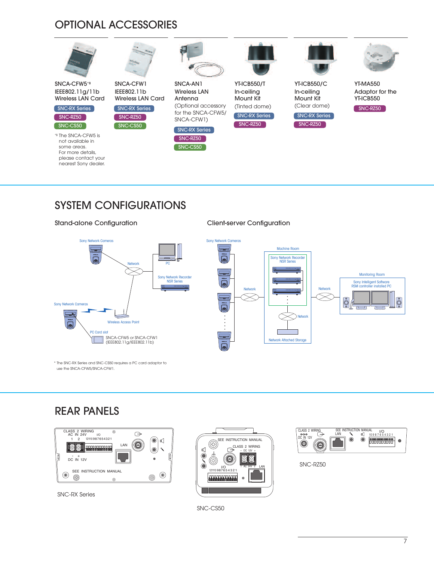# OPTIONAL ACCESSORIES



# SYSTEM CONFIGURATIONS



\* The SNC-RX Series and SNC-CS50 requires a PC card adaptor to use the SNCA-CFW5/SNCA-CFW1.

# REAR PANELS



SNC-RX Series





SNC-RZ50

SNC-CS50